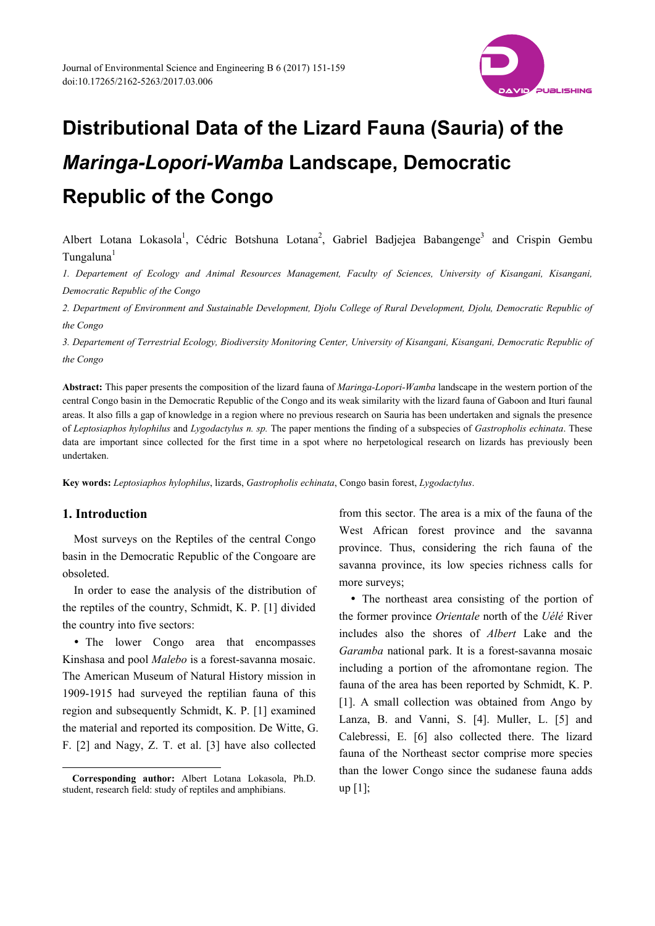

Albert Lotana Lokasola<sup>1</sup>, Cédric Botshuna Lotana<sup>2</sup>, Gabriel Badjejea Babangenge<sup>3</sup> and Crispin Gembu Tungaluna<sup>1</sup>

*1. Departement of Ecology and Animal Resources Management, Faculty of Sciences, University of Kisangani, Kisangani, Democratic Republic of the Congo* 

*2. Department of Environment and Sustainable Development, Djolu College of Rural Development, Djolu, Democratic Republic of the Congo* 

*3. Departement of Terrestrial Ecology, Biodiversity Monitoring Center, University of Kisangani, Kisangani, Democratic Republic of the Congo* 

**Abstract:** This paper presents the composition of the lizard fauna of *Maringa-Lopori-Wamba* landscape in the western portion of the central Congo basin in the Democratic Republic of the Congo and its weak similarity with the lizard fauna of Gaboon and Ituri faunal areas. It also fills a gap of knowledge in a region where no previous research on Sauria has been undertaken and signals the presence of *Leptosiaphos hylophilus* and *Lygodactylus n. sp.* The paper mentions the finding of a subspecies of *Gastropholis echinata*. These data are important since collected for the first time in a spot where no herpetological research on lizards has previously been undertaken.

**Key words:** *Leptosiaphos hylophilus*, lizards, *Gastropholis echinata*, Congo basin forest, *Lygodactylus*.

# **1. Introduction**

 $\overline{a}$ 

Most surveys on the Reptiles of the central Congo basin in the Democratic Republic of the Congoare are obsoleted.

In order to ease the analysis of the distribution of the reptiles of the country, Schmidt, K. P. [1] divided the country into five sectors:

• The lower Congo area that encompasses Kinshasa and pool *Malebo* is a forest-savanna mosaic. The American Museum of Natural History mission in 1909-1915 had surveyed the reptilian fauna of this region and subsequently Schmidt, K. P. [1] examined the material and reported its composition. De Witte, G. F. [2] and Nagy, Z. T. et al. [3] have also collected

from this sector. The area is a mix of the fauna of the West African forest province and the savanna province. Thus, considering the rich fauna of the savanna province, its low species richness calls for more surveys;

• The northeast area consisting of the portion of the former province *Orientale* north of the *Uélé* River includes also the shores of *Albert* Lake and the *Garamba* national park. It is a forest-savanna mosaic including a portion of the afromontane region. The fauna of the area has been reported by Schmidt, K. P. [1]. A small collection was obtained from Ango by Lanza, B. and Vanni, S. [4]. Muller, L. [5] and Calebressi, E. [6] also collected there. The lizard fauna of the Northeast sector comprise more species than the lower Congo since the sudanese fauna adds up [1];

**Corresponding author:** Albert Lotana Lokasola, Ph.D. student, research field: study of reptiles and amphibians.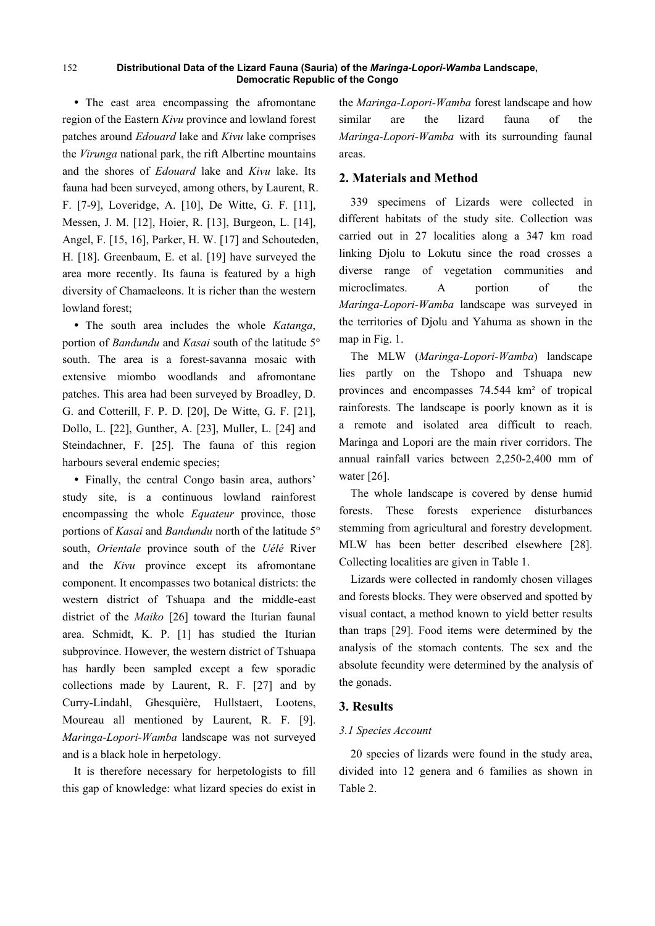The east area encompassing the afromontane region of the Eastern *Kivu* province and lowland forest patches around *Edouard* lake and *Kivu* lake comprises the *Virunga* national park, the rift Albertine mountains and the shores of *Edouard* lake and *Kivu* lake. Its fauna had been surveyed, among others, by Laurent, R. F. [7-9], Loveridge, A. [10], De Witte, G. F. [11], Messen, J. M. [12], Hoier, R. [13], Burgeon, L. [14], Angel, F. [15, 16], Parker, H. W. [17] and Schouteden, H. [18]. Greenbaum, E. et al. [19] have surveyed the area more recently. Its fauna is featured by a high diversity of Chamaeleons. It is richer than the western lowland forest;

 The south area includes the whole *Katanga*, portion of *Bandundu* and *Kasai* south of the latitude 5° south. The area is a forest-savanna mosaic with extensive miombo woodlands and afromontane patches. This area had been surveyed by Broadley, D. G. and Cotterill, F. P. D. [20], De Witte, G. F. [21], Dollo, L. [22], Gunther, A. [23], Muller, L. [24] and Steindachner, F. [25]. The fauna of this region harbours several endemic species;

• Finally, the central Congo basin area, authors' study site, is a continuous lowland rainforest encompassing the whole *Equateur* province, those portions of *Kasai* and *Bandundu* north of the latitude 5° south, *Orientale* province south of the *Uélé* River and the *Kivu* province except its afromontane component. It encompasses two botanical districts: the western district of Tshuapa and the middle-east district of the *Maiko* [26] toward the Iturian faunal area. Schmidt, K. P. [1] has studied the Iturian subprovince. However, the western district of Tshuapa has hardly been sampled except a few sporadic collections made by Laurent, R. F. [27] and by Curry-Lindahl, Ghesquière, Hullstaert, Lootens, Moureau all mentioned by Laurent, R. F. [9]. *Maringa-Lopori-Wamba* landscape was not surveyed and is a black hole in herpetology.

It is therefore necessary for herpetologists to fill this gap of knowledge: what lizard species do exist in the *Maringa-Lopori-Wamba* forest landscape and how similar are the lizard fauna of the *Maringa-Lopori-Wamba* with its surrounding faunal areas.

# **2. Materials and Method**

339 specimens of Lizards were collected in different habitats of the study site. Collection was carried out in 27 localities along a 347 km road linking Djolu to Lokutu since the road crosses a diverse range of vegetation communities and microclimates. A portion of the *Maringa-Lopori-Wamba* landscape was surveyed in the territories of Djolu and Yahuma as shown in the map in Fig. 1.

The MLW (*Maringa-Lopori-Wamba*) landscape lies partly on the Tshopo and Tshuapa new provinces and encompasses 74.544 km² of tropical rainforests. The landscape is poorly known as it is a remote and isolated area difficult to reach. Maringa and Lopori are the main river corridors. The annual rainfall varies between 2,250-2,400 mm of water [26].

The whole landscape is covered by dense humid forests. These forests experience disturbances stemming from agricultural and forestry development. MLW has been better described elsewhere [28]. Collecting localities are given in Table 1.

Lizards were collected in randomly chosen villages and forests blocks. They were observed and spotted by visual contact, a method known to yield better results than traps [29]. Food items were determined by the analysis of the stomach contents. The sex and the absolute fecundity were determined by the analysis of the gonads.

## **3. Results**

# *3.1 Species Account*

20 species of lizards were found in the study area, divided into 12 genera and 6 families as shown in Table 2.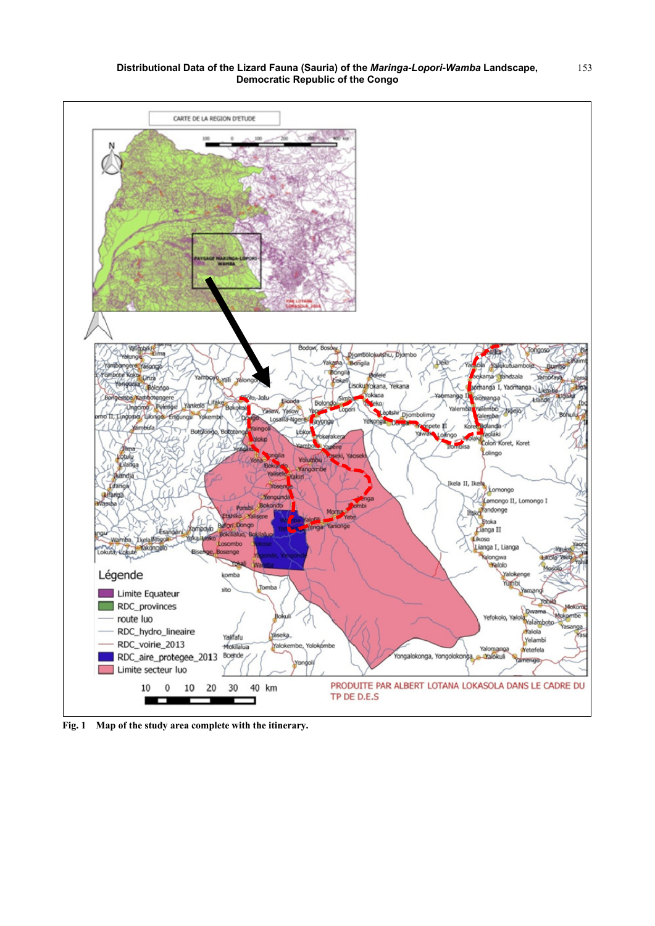

**Fig. 1 Map of the study area complete with the itinerary.**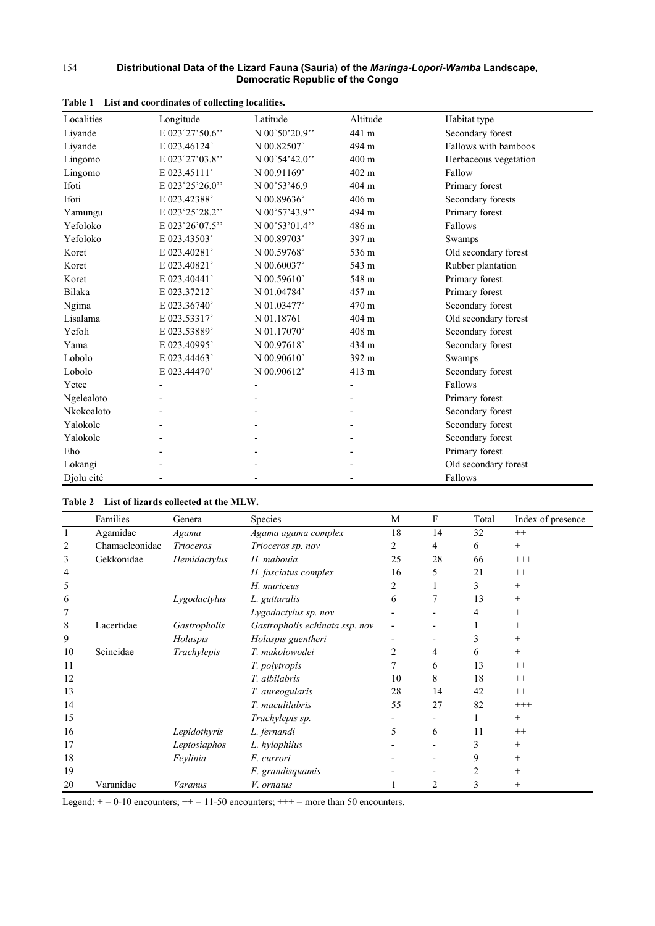| Localities    | Longitude      | Latitude        | Altitude        | Habitat type          |
|---------------|----------------|-----------------|-----------------|-----------------------|
| Liyande       | E 023°27'50.6" | N 00°50'20.9"   | 441 m           | Secondary forest      |
| Liyande       | E 023.46124°   | N 00.82507°     | 494 m           | Fallows with bamboos  |
| Lingomo       | E 023°27'03.8" | $N$ 00°54'42.0" | $400 \text{ m}$ | Herbaceous vegetation |
| Lingomo       | E 023.45111°   | N 00.91169°     | 402 m           | Fallow                |
| Ifoti         | E 023°25'26.0" | N 00°53'46.9    | 404 m           | Primary forest        |
| Ifoti         | E 023.42388°   | N 00.89636°     | 406 m           | Secondary forests     |
| Yamungu       | E 023°25'28.2" | N 00°57'43.9"   | 494 m           | Primary forest        |
| Yefoloko      | E 023°26'07.5" | N 00°53'01.4"   | 486 m           | Fallows               |
| Yefoloko      | E 023.43503°   | N 00.89703°     | 397 m           | Swamps                |
| Koret         | E 023.40281°   | N 00.59768°     | 536 m           | Old secondary forest  |
| Koret         | E 023.40821°   | N 00.60037°     | 543 m           | Rubber plantation     |
| Koret         | E 023.40441°   | N 00.59610°     | 548 m           | Primary forest        |
| <b>Bilaka</b> | E 023.37212°   | N 01.04784°     | 457 m           | Primary forest        |
| Ngima         | E 023.36740°   | N 01.03477°     | 470 m           | Secondary forest      |
| Lisalama      | E 023.53317°   | N 01.18761      | 404 m           | Old secondary forest  |
| Yefoli        | E 023.53889°   | N 01.17070°     | 408 m           | Secondary forest      |
| Yama          | E 023.40995°   | N 00.97618°     | 434 m           | Secondary forest      |
| Lobolo        | E 023.44463°   | N 00.90610°     | 392 m           | Swamps                |
| Lobolo        | E 023.44470°   | N 00.90612°     | 413 m           | Secondary forest      |
| Yetee         |                |                 |                 | Fallows               |
| Ngelealoto    |                |                 |                 | Primary forest        |
| Nkokoaloto    |                |                 |                 | Secondary forest      |
| Yalokole      |                |                 |                 | Secondary forest      |
| Yalokole      |                |                 |                 | Secondary forest      |
| Eho           |                |                 |                 | Primary forest        |
| Lokangi       |                |                 |                 | Old secondary forest  |
| Djolu cité    |                |                 |                 | Fallows               |

|  | Table 1 List and coordinates of collecting localities. |  |  |
|--|--------------------------------------------------------|--|--|
|  |                                                        |  |  |

# **Table 2 List of lizards collected at the MLW.**

|    | Families       | Genera           | Species                        | M  | F              | Total | Index of presence |
|----|----------------|------------------|--------------------------------|----|----------------|-------|-------------------|
| 1  | Agamidae       | Agama            | Agama agama complex            | 18 | 14             | 32    | $^{++}$           |
| 2  | Chamaeleonidae | <i>Trioceros</i> | Trioceros sp. nov              | 2  | 4              | 6     | $^{+}$            |
| 3  | Gekkonidae     | Hemidactylus     | H. mabouia                     | 25 | 28             | 66    | $+++$             |
| 4  |                |                  | H. fasciatus complex           | 16 | 5              | 21    | $^{++}$           |
| 5  |                |                  | H. muriceus                    | 2  |                | 3     | $^{+}$            |
| 6  |                | Lygodactylus     | L. gutturalis                  | 6  |                | 13    | $^{+}$            |
|    |                |                  | Lygodactylus sp. nov           |    |                | 4     | $^{+}$            |
| 8  | Lacertidae     | Gastropholis     | Gastropholis echinata ssp. nov |    |                |       | $^+$              |
| 9  |                | Holaspis         | Holaspis guentheri             |    |                | 3     | $^{+}$            |
| 10 | Scincidae      | Trachylepis      | T. makolowodei                 |    | 4              | 6     | $^{+}$            |
| 11 |                |                  | T. polytropis                  | 7  | 6              | 13    | $^{++}$           |
| 12 |                |                  | T. albilabris                  | 10 | 8              | 18    | $^{++}$           |
| 13 |                |                  | T. aureogularis                | 28 | 14             | 42    | $^{++}$           |
| 14 |                |                  | T. maculilabris                | 55 | 27             | 82    | $+++$             |
| 15 |                |                  | Trachylepis sp.                |    |                |       | $^{+}$            |
| 16 |                | Lepidothyris     | L. fernandi                    | 5  | 6              | 11    | $^{++}$           |
| 17 |                | Leptosiaphos     | L. hylophilus                  |    |                | 3     | $^{+}$            |
| 18 |                | Feylinia         | F. currori                     |    |                | 9     | $^{+}$            |
| 19 |                |                  | F. grandisquamis               |    |                |       | $^{+}$            |
| 20 | Varanidae      | <b>Varanus</b>   | V. ornatus                     |    | $\overline{c}$ | 3     | $^+$              |

Legend:  $+= 0-10$  encounters;  $++ = 11-50$  encounters;  $++=$  more than 50 encounters.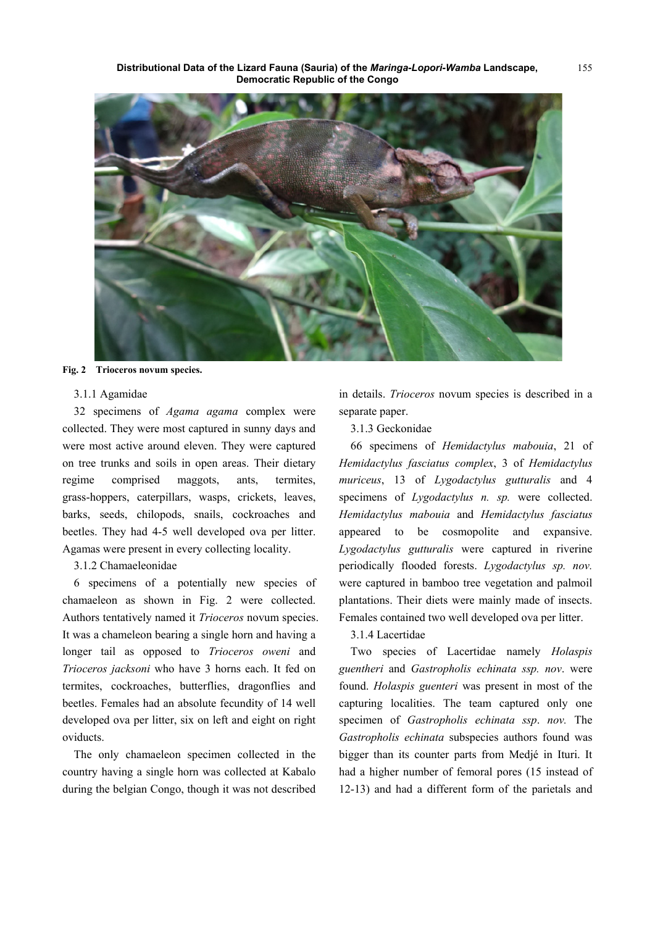**Distributional Data of the Lizard Fauna (Sauria) of the** *Maringa-Lopori-Wamba* **Landscape, Democratic Republic of the Congo** 



**Fig. 2 Trioceros novum species.** 

#### 3.1.1 Agamidae

32 specimens of *Agama agama* complex were collected. They were most captured in sunny days and were most active around eleven. They were captured on tree trunks and soils in open areas. Their dietary regime comprised maggots, ants, termites, grass-hoppers, caterpillars, wasps, crickets, leaves, barks, seeds, chilopods, snails, cockroaches and beetles. They had 4-5 well developed ova per litter. Agamas were present in every collecting locality.

### 3.1.2 Chamaeleonidae

6 specimens of a potentially new species of chamaeleon as shown in Fig. 2 were collected. Authors tentatively named it *Trioceros* novum species. It was a chameleon bearing a single horn and having a longer tail as opposed to *Trioceros oweni* and *Trioceros jacksoni* who have 3 horns each. It fed on termites, cockroaches, butterflies, dragonflies and beetles. Females had an absolute fecundity of 14 well developed ova per litter, six on left and eight on right oviducts.

The only chamaeleon specimen collected in the country having a single horn was collected at Kabalo during the belgian Congo, though it was not described in details. *Trioceros* novum species is described in a separate paper.

#### 3.1.3 Geckonidae

66 specimens of *Hemidactylus mabouia*, 21 of *Hemidactylus fasciatus complex*, 3 of *Hemidactylus muriceus*, 13 of *Lygodactylus gutturalis* and 4 specimens of *Lygodactylus n. sp.* were collected. *Hemidactylus mabouia* and *Hemidactylus fasciatus* appeared to be cosmopolite and expansive. *Lygodactylus gutturalis* were captured in riverine periodically flooded forests. *Lygodactylus sp. nov.*  were captured in bamboo tree vegetation and palmoil plantations. Their diets were mainly made of insects. Females contained two well developed ova per litter.

#### 3.1.4 Lacertidae

Two species of Lacertidae namely *Holaspis guentheri* and *Gastropholis echinata ssp. nov*. were found. *Holaspis guenteri* was present in most of the capturing localities. The team captured only one specimen of *Gastropholis echinata ssp*. *nov.* The *Gastropholis echinata* subspecies authors found was bigger than its counter parts from Medjé in Ituri. It had a higher number of femoral pores (15 instead of 12-13) and had a different form of the parietals and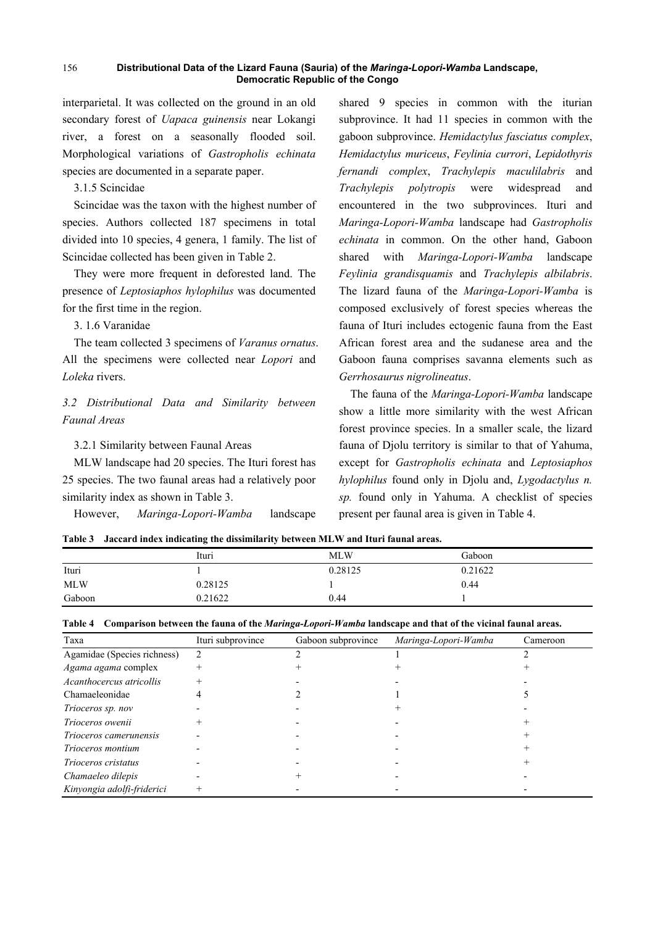interparietal. It was collected on the ground in an old secondary forest of *Uapaca guinensis* near Lokangi river, a forest on a seasonally flooded soil. Morphological variations of *Gastropholis echinata* species are documented in a separate paper.

3.1.5 Scincidae

Scincidae was the taxon with the highest number of species. Authors collected 187 specimens in total divided into 10 species, 4 genera, 1 family. The list of Scincidae collected has been given in Table 2.

They were more frequent in deforested land. The presence of *Leptosiaphos hylophilus* was documented for the first time in the region.

3. 1.6 Varanidae

The team collected 3 specimens of *Varanus ornatus*. All the specimens were collected near *Lopori* and *Loleka* rivers.

*3.2 Distributional Data and Similarity between Faunal Areas* 

3.2.1 Similarity between Faunal Areas

MLW landscape had 20 species. The Ituri forest has 25 species. The two faunal areas had a relatively poor similarity index as shown in Table 3.

However, *Maringa-Lopori-Wamba* landscape

shared 9 species in common with the iturian subprovince. It had 11 species in common with the gaboon subprovince. *Hemidactylus fasciatus complex*, *Hemidactylus muriceus*, *Feylinia currori*, *Lepidothyris fernandi complex*, *Trachylepis maculilabris* and *Trachylepis polytropis* were widespread and encountered in the two subprovinces. Ituri and *Maringa-Lopori-Wamba* landscape had *Gastropholis echinata* in common. On the other hand, Gaboon shared with *Maringa-Lopori-Wamba* landscape *Feylinia grandisquamis* and *Trachylepis albilabris*. The lizard fauna of the *Maringa-Lopori-Wamba* is composed exclusively of forest species whereas the fauna of Ituri includes ectogenic fauna from the East African forest area and the sudanese area and the Gaboon fauna comprises savanna elements such as *Gerrhosaurus nigrolineatus*.

The fauna of the *Maringa-Lopori-Wamba* landscape show a little more similarity with the west African forest province species. In a smaller scale, the lizard fauna of Djolu territory is similar to that of Yahuma, except for *Gastropholis echinata* and *Leptosiaphos hylophilus* found only in Djolu and, *Lygodactylus n. sp.* found only in Yahuma. A checklist of species present per faunal area is given in Table 4.

|  | Table 3 Jaccard index indicating the dissimilarity between MLW and Ituri faunal areas. |  |
|--|----------------------------------------------------------------------------------------|--|
|--|----------------------------------------------------------------------------------------|--|

|            | Ituri   | <b>MLW</b> | Gaboon  |
|------------|---------|------------|---------|
| Ituri      |         | 0.28125    | 0.21622 |
| <b>MLW</b> | 0.28125 |            | 0.44    |
| Gaboon     | 0.21622 | 0.44       |         |

|  |  |  |  | Table 4 Comparison between the fauna of the <i>Maringa-Lopori-Wamba</i> landscape and that of the vicinal faunal areas. |
|--|--|--|--|-------------------------------------------------------------------------------------------------------------------------|
|  |  |  |  |                                                                                                                         |

| Taxa                        | Ituri subprovince | Gaboon subprovince | Maringa-Lopori-Wamba | Cameroon |
|-----------------------------|-------------------|--------------------|----------------------|----------|
| Agamidae (Species richness) | 2                 |                    |                      |          |
| Agama agama complex         | $^{+}$            |                    |                      |          |
| Acanthocercus atricollis    |                   |                    |                      |          |
| Chamaeleonidae              |                   |                    |                      |          |
| Trioceros sp. nov           |                   |                    |                      |          |
| Trioceros owenii            |                   |                    |                      |          |
| Trioceros camerunensis      |                   |                    |                      |          |
| Trioceros montium           |                   |                    |                      |          |
| Trioceros cristatus         |                   |                    |                      |          |
| Chamaeleo dilepis           |                   |                    |                      |          |
| Kinyongia adolfi-friderici  |                   |                    |                      |          |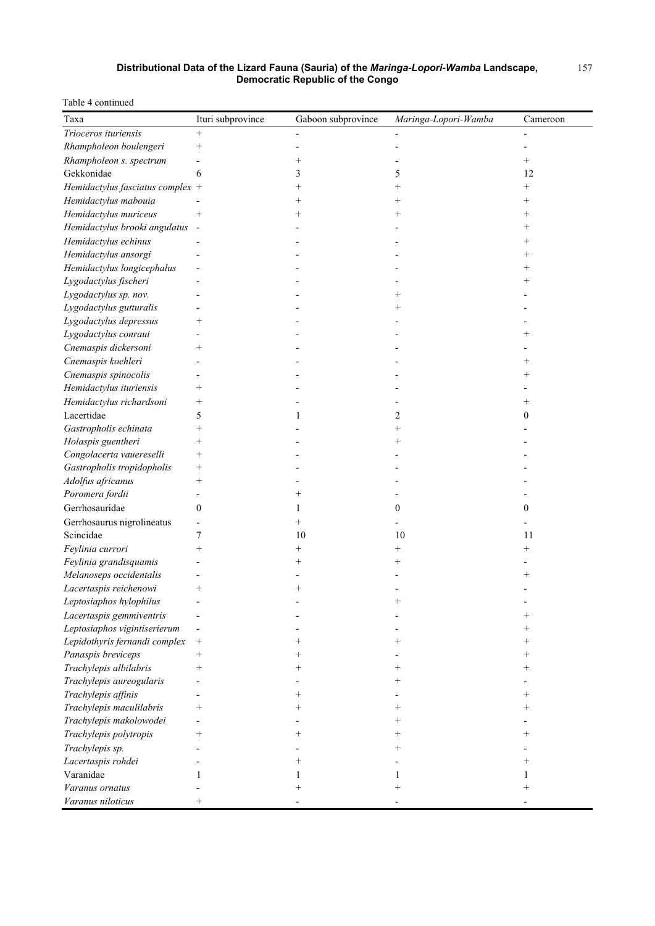### Table 4 continued

| Taxa                             | Ituri subprovince        | Gaboon subprovince | Maringa-Lopori-Wamba | Cameroon       |
|----------------------------------|--------------------------|--------------------|----------------------|----------------|
| Trioceros ituriensis             | $^{+}$                   |                    |                      |                |
| Rhampholeon boulengeri           | $^{+}$                   |                    |                      |                |
| Rhampholeon s. spectrum          |                          | $^{+}$             |                      | $^{+}$         |
| Gekkonidae                       | 6                        | 3                  | 5                    | 12             |
| Hemidactylus fasciatus complex + |                          | $^{+}$             | $^{+}$               | $^{+}$         |
| Hemidactylus mabouia             |                          | $^+$               | $\hspace{0.1mm} +$   |                |
| Hemidactylus muriceus            | $^{+}$                   | $^{+}$             | $^{+}$               |                |
| Hemidactylus brooki angulatus    | $\overline{\phantom{a}}$ |                    |                      |                |
| Hemidactylus echinus             |                          |                    |                      |                |
| Hemidactylus ansorgi             |                          |                    |                      |                |
| Hemidactylus longicephalus       |                          |                    |                      | $\overline{+}$ |
| Lygodactylus fischeri            |                          |                    |                      | $\overline{+}$ |
| Lygodactylus sp. nov.            |                          |                    |                      |                |
| Lygodactylus gutturalis          |                          |                    |                      |                |
| Lygodactylus depressus           | $^{+}$                   |                    |                      |                |
| Lygodactylus conraui             |                          |                    |                      |                |
| Cnemaspis dickersoni             | $^{+}$                   |                    |                      |                |
| Cnemaspis koehleri               |                          |                    |                      |                |
| Cnemaspis spinocolis             |                          |                    |                      |                |
| Hemidactylus ituriensis          | $^{+}$                   |                    |                      |                |
| Hemidactylus richardsoni         | $^+$                     |                    |                      |                |
| Lacertidae                       | 5                        | 1                  | 2                    | 0              |
| Gastropholis echinata            | $^{+}$                   |                    | $^{+}$               |                |
| Holaspis guentheri               | $^{+}$                   |                    | $^+$                 |                |
| Congolacerta vauereselli         | $^{+}$                   |                    |                      |                |
| Gastropholis tropidopholis       | $^{+}$                   |                    |                      |                |
| Adolfus africanus                | $^{+}$                   |                    |                      |                |
| Poromera fordii                  |                          |                    |                      |                |
| Gerrhosauridae                   | $\boldsymbol{0}$         | 1                  | $\boldsymbol{0}$     | 0              |
| Gerrhosaurus nigrolineatus       |                          | $^{+}$             |                      |                |
| Scincidae                        | 7                        | 10                 | 10                   | 11             |
| Feylinia currori                 | $^{+}$                   | $^+$               | $^{+}$               | ┿              |
| Feylinia grandisquamis           |                          | $^+$               | ┿                    |                |
| Melanoseps occidentalis          |                          |                    |                      |                |
| Lacertaspis reichenowi           | $^{+}$                   |                    |                      |                |
| Leptosiaphos hylophilus          |                          |                    |                      |                |
| Lacertaspis gemmiventris         |                          |                    |                      |                |
| Leptosiaphos vigintiserierum     |                          |                    |                      |                |
| Lepidothyris fernandi complex    | $^{+}$                   | ┿                  | ┿                    | $^{+}$         |
| Panaspis breviceps               | $^{+}$                   | ┿                  |                      | $^+$           |
| Trachylepis albilabris           | $^{+}$                   | $^+$               | $^+$                 |                |
| Trachylepis aureogularis         |                          |                    | $^+$                 |                |
| Trachylepis affinis              |                          | $^+$               |                      | $^+$           |
| Trachylepis maculilabris         | $^{+}$                   | $^+$               | $^+$                 |                |
| Trachylepis makolowodei          |                          |                    | $\hspace{0.1mm} +$   |                |
| Trachylepis polytropis           |                          |                    |                      |                |
| Trachylepis sp.                  |                          |                    |                      |                |
| Lacertaspis rohdei               |                          |                    |                      |                |
| Varanidae                        |                          |                    |                      |                |
| <i>Varanus ornatus</i>           |                          |                    |                      |                |
| Varanus niloticus                | $^{+}$                   |                    |                      |                |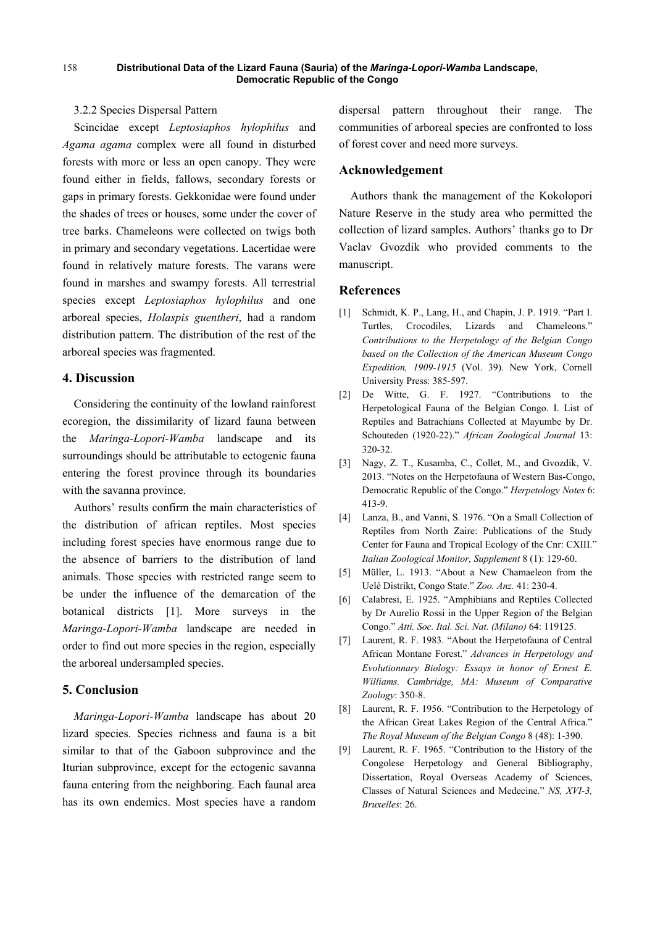### 3.2.2 Species Dispersal Pattern

Scincidae except *Leptosiaphos hylophilus* and *Agama agama* complex were all found in disturbed forests with more or less an open canopy. They were found either in fields, fallows, secondary forests or gaps in primary forests. Gekkonidae were found under the shades of trees or houses, some under the cover of tree barks. Chameleons were collected on twigs both in primary and secondary vegetations. Lacertidae were found in relatively mature forests. The varans were found in marshes and swampy forests. All terrestrial species except *Leptosiaphos hylophilus* and one arboreal species, *Holaspis guentheri*, had a random distribution pattern. The distribution of the rest of the arboreal species was fragmented.

# **4. Discussion**

Considering the continuity of the lowland rainforest ecoregion, the dissimilarity of lizard fauna between the *Maringa-Lopori-Wamba* landscape and its surroundings should be attributable to ectogenic fauna entering the forest province through its boundaries with the savanna province.

Authors' results confirm the main characteristics of the distribution of african reptiles. Most species including forest species have enormous range due to the absence of barriers to the distribution of land animals. Those species with restricted range seem to be under the influence of the demarcation of the botanical districts [1]. More surveys in the *Maringa-Lopori-Wamba* landscape are needed in order to find out more species in the region, especially the arboreal undersampled species.

## **5. Conclusion**

*Maringa-Lopori-Wamba* landscape has about 20 lizard species. Species richness and fauna is a bit similar to that of the Gaboon subprovince and the Iturian subprovince, except for the ectogenic savanna fauna entering from the neighboring. Each faunal area has its own endemics. Most species have a random

dispersal pattern throughout their range. The communities of arboreal species are confronted to loss of forest cover and need more surveys.

#### **Acknowledgement**

Authors thank the management of the Kokolopori Nature Reserve in the study area who permitted the collection of lizard samples. Authors' thanks go to Dr Vaclav Gvozdik who provided comments to the manuscript.

## **References**

- [1] Schmidt, K. P., Lang, H., and Chapin, J. P. 1919. "Part I. Turtles, Crocodiles, Lizards and Chameleons." *Contributions to the Herpetology of the Belgian Congo based on the Collection of the American Museum Congo Expedition, 1909-1915* (Vol. 39). New York, Cornell University Press: 385-597.
- [2] De Witte, G. F. 1927. "Contributions to the Herpetological Fauna of the Belgian Congo. I. List of Reptiles and Batrachians Collected at Mayumbe by Dr. Schouteden (1920-22)." *African Zoological Journal* 13: 320-32.
- [3] Nagy, Z. T., Kusamba, C., Collet, M., and Gvozdik, V. 2013. "Notes on the Herpetofauna of Western Bas-Congo, Democratic Republic of the Congo." *Herpetology Notes* 6: 413-9.
- [4] Lanza, B., and Vanni, S. 1976. "On a Small Collection of Reptiles from North Zaire: Publications of the Study Center for Fauna and Tropical Ecology of the Cnr: CXIII." *Italian Zoological Monitor, Supplement* 8 (1): 129-60.
- [5] Müller, L. 1913. "About a New Chamaeleon from the Uelé Distrikt, Congo State." *Zoo. Anz.* 41: 230-4.
- [6] Calabresi, E. 1925. "Amphibians and Reptiles Collected by Dr Aurelio Rossi in the Upper Region of the Belgian Congo." *Atti. Soc. Ital. Sci. Nat. (Milano)* 64: 119125.
- [7] Laurent, R. F. 1983. "About the Herpetofauna of Central African Montane Forest." *Advances in Herpetology and Evolutionnary Biology: Essays in honor of Ernest E. Williams. Cambridge, MA: Museum of Comparative Zoology*: 350-8.
- [8] Laurent, R. F. 1956. "Contribution to the Herpetology of the African Great Lakes Region of the Central Africa." *The Royal Museum of the Belgian Congo* 8 (48): 1-390.
- [9] Laurent, R. F. 1965. "Contribution to the History of the Congolese Herpetology and General Bibliography, Dissertation, Royal Overseas Academy of Sciences, Classes of Natural Sciences and Medecine." *NS, XVI-3, Bruxelles*: 26.